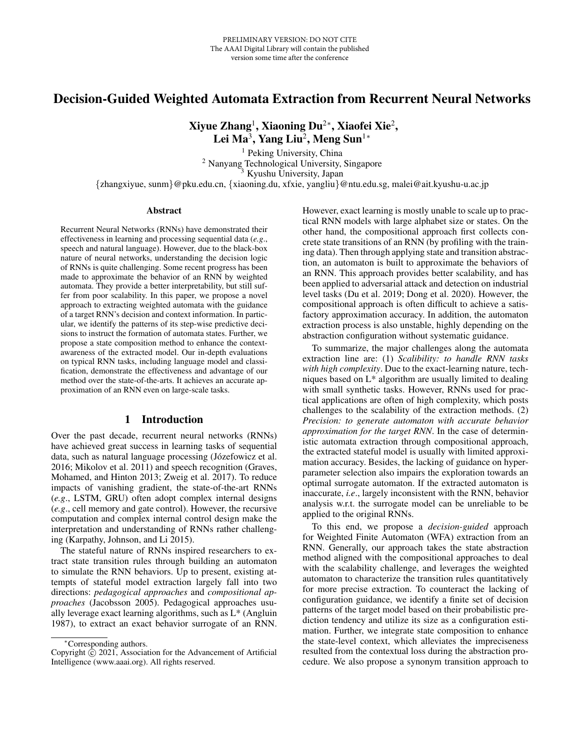# Decision-Guided Weighted Automata Extraction from Recurrent Neural Networks

Xiyue Zhang<sup>1</sup>, Xiaoning Du $^{2*}$ , Xiaofei Xie $^{2}$ , Lei Ma<sup>3</sup>, Yang Liu<sup>2</sup>, Meng Sun<sup>1</sup>\*

<sup>1</sup> Peking University, China <sup>2</sup> Nanyang Technological University, Singapore <sup>3</sup> Kyushu University, Japan {zhangxiyue, sunm}@pku.edu.cn, {xiaoning.du, xfxie, yangliu}@ntu.edu.sg, malei@ait.kyushu-u.ac.jp

#### Abstract

Recurrent Neural Networks (RNNs) have demonstrated their effectiveness in learning and processing sequential data (*e.g*., speech and natural language). However, due to the black-box nature of neural networks, understanding the decision logic of RNNs is quite challenging. Some recent progress has been made to approximate the behavior of an RNN by weighted automata. They provide a better interpretability, but still suffer from poor scalability. In this paper, we propose a novel approach to extracting weighted automata with the guidance of a target RNN's decision and context information. In particular, we identify the patterns of its step-wise predictive decisions to instruct the formation of automata states. Further, we propose a state composition method to enhance the contextawareness of the extracted model. Our in-depth evaluations on typical RNN tasks, including language model and classification, demonstrate the effectiveness and advantage of our method over the state-of-the-arts. It achieves an accurate approximation of an RNN even on large-scale tasks.

# 1 Introduction

Over the past decade, recurrent neural networks (RNNs) have achieved great success in learning tasks of sequential data, such as natural language processing (Józefowicz et al. 2016; Mikolov et al. 2011) and speech recognition (Graves, Mohamed, and Hinton 2013; Zweig et al. 2017). To reduce impacts of vanishing gradient, the state-of-the-art RNNs (*e.g*., LSTM, GRU) often adopt complex internal designs (*e.g*., cell memory and gate control). However, the recursive computation and complex internal control design make the interpretation and understanding of RNNs rather challenging (Karpathy, Johnson, and Li 2015).

The stateful nature of RNNs inspired researchers to extract state transition rules through building an automaton to simulate the RNN behaviors. Up to present, existing attempts of stateful model extraction largely fall into two directions: *pedagogical approaches* and *compositional approaches* (Jacobsson 2005). Pedagogical approaches usually leverage exact learning algorithms, such as L\* (Angluin 1987), to extract an exact behavior surrogate of an RNN.

However, exact learning is mostly unable to scale up to practical RNN models with large alphabet size or states. On the other hand, the compositional approach first collects concrete state transitions of an RNN (by profiling with the training data). Then through applying state and transition abstraction, an automaton is built to approximate the behaviors of an RNN. This approach provides better scalability, and has been applied to adversarial attack and detection on industrial level tasks (Du et al. 2019; Dong et al. 2020). However, the compositional approach is often difficult to achieve a satisfactory approximation accuracy. In addition, the automaton extraction process is also unstable, highly depending on the abstraction configuration without systematic guidance.

To summarize, the major challenges along the automata extraction line are: (1) *Scalibility: to handle RNN tasks with high complexity*. Due to the exact-learning nature, techniques based on L\* algorithm are usually limited to dealing with small synthetic tasks. However, RNNs used for practical applications are often of high complexity, which posts challenges to the scalability of the extraction methods. (2) *Precision: to generate automaton with accurate behavior approximation for the target RNN*. In the case of deterministic automata extraction through compositional approach, the extracted stateful model is usually with limited approximation accuracy. Besides, the lacking of guidance on hyperparameter selection also impairs the exploration towards an optimal surrogate automaton. If the extracted automaton is inaccurate, *i.e*., largely inconsistent with the RNN, behavior analysis w.r.t. the surrogate model can be unreliable to be applied to the original RNNs.

To this end, we propose a *decision-guided* approach for Weighted Finite Automaton (WFA) extraction from an RNN. Generally, our approach takes the state abstraction method aligned with the compositional approaches to deal with the scalability challenge, and leverages the weighted automaton to characterize the transition rules quantitatively for more precise extraction. To counteract the lacking of configuration guidance, we identify a finite set of decision patterns of the target model based on their probabilistic prediction tendency and utilize its size as a configuration estimation. Further, we integrate state composition to enhance the state-level context, which alleviates the impreciseness resulted from the contextual loss during the abstraction procedure. We also propose a synonym transition approach to

<sup>∗</sup>Corresponding authors.

Copyright  $\overline{c}$  2021, Association for the Advancement of Artificial Intelligence (www.aaai.org). All rights reserved.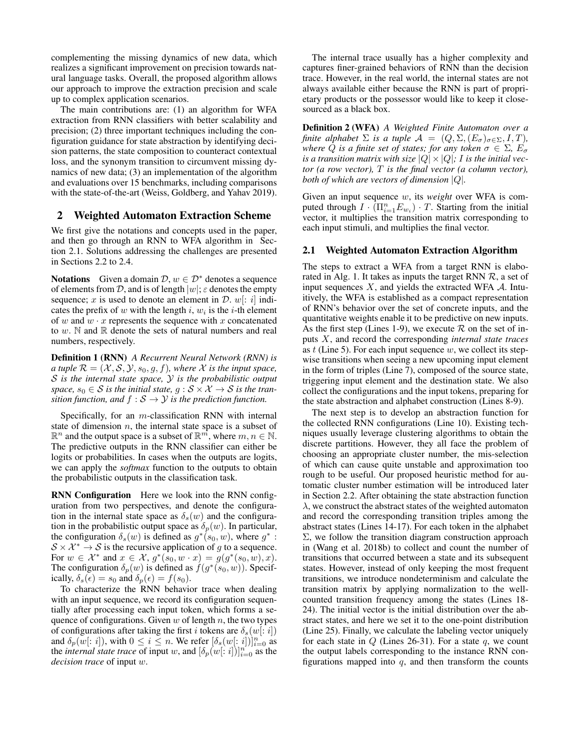complementing the missing dynamics of new data, which realizes a significant improvement on precision towards natural language tasks. Overall, the proposed algorithm allows our approach to improve the extraction precision and scale up to complex application scenarios.

The main contributions are: (1) an algorithm for WFA extraction from RNN classifiers with better scalability and precision; (2) three important techniques including the configuration guidance for state abstraction by identifying decision patterns, the state composition to counteract contextual loss, and the synonym transition to circumvent missing dynamics of new data; (3) an implementation of the algorithm and evaluations over 15 benchmarks, including comparisons with the state-of-the-art (Weiss, Goldberg, and Yahav 2019).

### 2 Weighted Automaton Extraction Scheme

We first give the notations and concepts used in the paper, and then go through an RNN to WFA algorithm in Section 2.1. Solutions addressing the challenges are presented in Sections 2.2 to 2.4.

**Notations** Given a domain  $D, w \in \mathcal{D}^*$  denotes a sequence of elements from D, and is of length  $|w|$ ;  $\varepsilon$  denotes the empty sequence; x is used to denote an element in  $\mathcal{D}$ . w[: i] indicates the prefix of  $w$  with the length  $i$ ,  $w_i$  is the  $i$ -th element of w and  $w \cdot x$  represents the sequence with x concatenated to  $w$ . N and  $\mathbb R$  denote the sets of natural numbers and real numbers, respectively.

Definition 1 (RNN) *A Recurrent Neural Network (RNN) is a tuple*  $\mathcal{R} = (\mathcal{X}, \mathcal{S}, \mathcal{Y}, s_0, g, f)$ *, where*  $\mathcal{X}$  *is the input space,* S *is the internal state space,* Y *is the probabilistic output space,*  $s_0 \in S$  *is the initial state,*  $g : S \times X \rightarrow S$  *is the transition function, and*  $f : \mathcal{S} \to \mathcal{Y}$  *is the prediction function.* 

Specifically, for an  $m$ -classification RNN with internal state of dimension  $n$ , the internal state space is a subset of  $\mathbb{R}^n$  and the output space is a subset of  $\mathbb{R}^m$ , where  $m, n \in \mathbb{N}$ . The predictive outputs in the RNN classifier can either be logits or probabilities. In cases when the outputs are logits, we can apply the *softmax* function to the outputs to obtain the probabilistic outputs in the classification task.

RNN Configuration Here we look into the RNN configuration from two perspectives, and denote the configuration in the internal state space as  $\delta_s(w)$  and the configuration in the probabilistic output space as  $\delta_p(w)$ . In particular, the configuration  $\delta_s(w)$  is defined as  $g^*(s_0, w)$ , where  $g^*$ :  $S \times \mathcal{X}^* \to S$  is the recursive application of g to a sequence. For  $w \in \mathcal{X}^*$  and  $x \in \mathcal{X}, g^*(\overline{s_0}, w \cdot x) = g(g^*(s_0, w), x)$ . The configuration  $\delta_p(w)$  is defined as  $f(g^*(s_0, w))$ . Specifically,  $\delta_s(\epsilon) = s_0$  and  $\delta_p(\epsilon) = f(s_0)$ .

To characterize the RNN behavior trace when dealing with an input sequence, we record its configuration sequentially after processing each input token, which forms a sequence of configurations. Given  $w$  of length  $n$ , the two types of configurations after taking the first i tokens are  $\delta_s(w[: i])$ and  $\delta_p(w[:i])$ , with  $0 \le i \le n$ . We refer  $[\delta_s(w[:i])]_{i=0}^n$  as the *internal state trace* of input w, and  $[\delta_p(w[:i])]_{i=0}^n$  as the *decision trace* of input w.

The internal trace usually has a higher complexity and captures finer-grained behaviors of RNN than the decision trace. However, in the real world, the internal states are not always available either because the RNN is part of proprietary products or the possessor would like to keep it closesourced as a black box.

Definition 2 (WFA) *A Weighted Finite Automaton over a finite alphabet*  $\Sigma$  *is a tuple*  $\mathcal{A} = (Q, \Sigma, (E_{\sigma})_{\sigma \in \Sigma}, I, T)$ *, where Q is a finite set of states; for any token*  $\sigma \in \Sigma$ ,  $E_{\sigma}$ *is a transition matrix with size*  $|Q| \times |Q|$ ; *I is the initial vector (a row vector),* T *is the final vector (a column vector), both of which are vectors of dimension* |Q|*.*

Given an input sequence w, its *weight* over WFA is computed through  $I \cdot (\Pi_{i=1}^n E_{w_i}) \cdot T$ . Starting from the initial vector, it multiplies the transition matrix corresponding to each input stimuli, and multiplies the final vector.

#### 2.1 Weighted Automaton Extraction Algorithm

The steps to extract a WFA from a target RNN is elaborated in Alg. 1. It takes as inputs the target RNN  $\mathcal{R}$ , a set of input sequences  $X$ , and yields the extracted WFA  $A$ . Intuitively, the WFA is established as a compact representation of RNN's behavior over the set of concrete inputs, and the quantitative weights enable it to be predictive on new inputs. As the first step (Lines 1-9), we execute  $R$  on the set of inputs X, and record the corresponding *internal state traces* as  $t$  (Line 5). For each input sequence  $w$ , we collect its stepwise transitions when seeing a new upcoming input element in the form of triples (Line 7), composed of the source state, triggering input element and the destination state. We also collect the configurations and the input tokens, preparing for the state abstraction and alphabet construction (Lines 8-9).

The next step is to develop an abstraction function for the collected RNN configurations (Line 10). Existing techniques usually leverage clustering algorithms to obtain the discrete partitions. However, they all face the problem of choosing an appropriate cluster number, the mis-selection of which can cause quite unstable and approximation too rough to be useful. Our proposed heuristic method for automatic cluster number estimation will be introduced later in Section 2.2. After obtaining the state abstraction function  $\lambda$ , we construct the abstract states of the weighted automaton and record the corresponding transition triples among the abstract states (Lines 14-17). For each token in the alphabet  $\Sigma$ , we follow the transition diagram construction approach in (Wang et al. 2018b) to collect and count the number of transitions that occurred between a state and its subsequent states. However, instead of only keeping the most frequent transitions, we introduce nondeterminism and calculate the transition matrix by applying normalization to the wellcounted transition frequency among the states (Lines 18- 24). The initial vector is the initial distribution over the abstract states, and here we set it to the one-point distribution (Line 25). Finally, we calculate the labeling vector uniquely for each state in  $Q$  (Lines 26-31). For a state  $q$ , we count the output labels corresponding to the instance RNN configurations mapped into  $q$ , and then transform the counts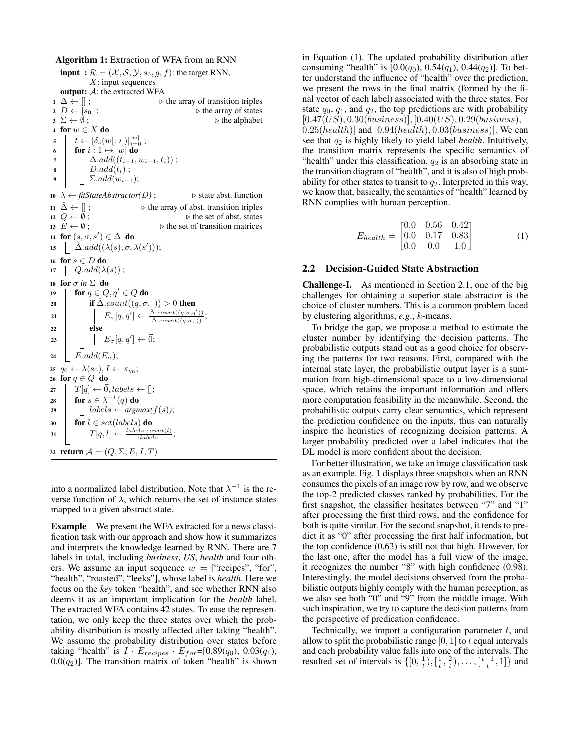Algorithm 1: Extraction of WFA from an RNN **input** :  $\mathcal{R} = (\mathcal{X}, \mathcal{S}, \mathcal{Y}, s_0, g, f)$ : the target RNN,  $X:$  input sequences output: A: the extracted WFA 1  $\Delta \leftarrow []$ ;<br>
2  $D \leftarrow [s_0]$ ; b the array of transition triples<br>
b the array of states 2  $D \leftarrow [s_0]$ ;<br>
3  $\Sigma \leftarrow \emptyset$ ;<br>
b the alphabet  $▶$  the alphabet 4 for  $w \in X$  do  $\mathfrak{s}$   $t \leftarrow [\delta_s(w[:i])]_{i=0}^{|w|}$ ; 6 **for**  $i : 1 \mapsto |w|$  **do** 7 |  $\Delta.add((t_{i-1}, w_{i-1}, t_i))$ ;  $\mathbf{8}$  | D.add $(t_i)$ ; 9 |  $\Sigma.add(w_{i-1});$ 10  $\lambda \leftarrow \text{fitStateAbstractor}(D)$ ;  $\triangleright$  state abst. function 11  $\hat{\Delta}$  ←  $||$ ;  $\triangleright$  the array of abst. transition triples 12  $Q \leftarrow \emptyset$ ;  $\triangleright$  the set of abst. states 13  $E \leftarrow \emptyset$ ;  $\triangleright$  the set of transition matrices 14 for  $(s, \sigma, s') \in \Delta$  do 15  $\hat{\Delta}$ .add $((\lambda(s), \sigma, \lambda(s')));$ 16 for  $s \in D$  do 17  $Q.add(\lambda(s))$ ; 18 for  $\sigma$  *in*  $\Sigma$  do 19  $\vert$  for  $q \in Q, q' \in Q$  do 20 if  $\hat{\Delta}$ .count $((q, \sigma, \Delta)) > 0$  then 21  $\vert$   $E_{\sigma}[q,q'] \leftarrow \frac{\hat{\Delta}.count((q,\sigma,q'))}{\hat{\Delta}.count((q,\sigma,.))};$  $22$  else 23  $\Big| \Big| \Big| E_{\sigma}[q,q'] \leftarrow \vec{0};$ 24 E.add $(E_{\sigma});$  $q_0 \leftarrow \lambda(s_0), I \leftarrow \pi_{q_0};$ 26 for  $q \in Q$  do  $27 \mid T[q] \leftarrow \vec{0}, labels \leftarrow [];$ 28 for  $s \in \lambda^{-1}(q)$  do <sup>29</sup> labels ← *argmax(*f(s)*)*; 30 for  $l \in set(labels)$  do  $31 \quad T[q, l] \leftarrow \frac{labels.count(l)}{|labels|};$ 32 return  $\mathcal{A} = (Q, \Sigma, E, I, T)$ 

into a normalized label distribution. Note that  $\lambda^{-1}$  is the reverse function of  $\lambda$ , which returns the set of instance states mapped to a given abstract state.

Example We present the WFA extracted for a news classification task with our approach and show how it summarizes and interprets the knowledge learned by RNN. There are 7 labels in total, including *business*, *US*, *health* and four others. We assume an input sequence  $w =$  ["recipes", "for", "health", "roasted", "leeks"], whose label is *health*. Here we focus on the *key* token "health", and see whether RNN also deems it as an important implication for the *health* label. The extracted WFA contains 42 states. To ease the representation, we only keep the three states over which the probability distribution is mostly affected after taking "health". We assume the probability distribution over states before taking "health" is  $I \cdot E_{recipes} \cdot E_{for} = [0.89(q_0), 0.03(q_1),$  $0.0(q_2)$ ]. The transition matrix of token "health" is shown

in Equation (1). The updated probability distribution after consuming "health" is  $[0.0(q_0), 0.54(q_1), 0.44(q_2)]$ . To better understand the influence of "health" over the prediction, we present the rows in the final matrix (formed by the final vector of each label) associated with the three states. For state  $q_0$ ,  $q_1$ , and  $q_2$ , the top predictions are with probability  $[0.47(US), 0.30(business)], [0.40(US), 0.29(business)],$  $0.25(headth)$ ] and [0.94(health), 0.03(business)]. We can see that q<sup>2</sup> is highly likely to yield label *health*. Intuitively, the transition matrix represents the specific semantics of "health" under this classification.  $q_2$  is an absorbing state in the transition diagram of "health", and it is also of high probability for other states to transit to  $q_2$ . Interpreted in this way, we know that, basically, the semantics of "health" learned by RNN complies with human perception.

$$
E_{health} = \begin{bmatrix} 0.0 & 0.56 & 0.42 \\ 0.0 & 0.17 & 0.83 \\ 0.0 & 0.0 & 1.0 \end{bmatrix}
$$
 (1)

## 2.2 Decision-Guided State Abstraction

Challenge-I. As mentioned in Section 2.1, one of the big challenges for obtaining a superior state abstractor is the choice of cluster numbers. This is a common problem faced by clustering algorithms, *e.g*., k-means.

To bridge the gap, we propose a method to estimate the cluster number by identifying the decision patterns. The probabilistic outputs stand out as a good choice for observing the patterns for two reasons. First, compared with the internal state layer, the probabilistic output layer is a summation from high-dimensional space to a low-dimensional space, which retains the important information and offers more computation feasibility in the meanwhile. Second, the probabilistic outputs carry clear semantics, which represent the prediction confidence on the inputs, thus can naturally inspire the heuristics of recognizing decision patterns. A larger probability predicted over a label indicates that the DL model is more confident about the decision.

For better illustration, we take an image classification task as an example. Fig. 1 displays three snapshots when an RNN consumes the pixels of an image row by row, and we observe the top-2 predicted classes ranked by probabilities. For the first snapshot, the classifier hesitates between "7" and "1" after processing the first third rows, and the confidence for both is quite similar. For the second snapshot, it tends to predict it as "0" after processing the first half information, but the top confidence (0.63) is still not that high. However, for the last one, after the model has a full view of the image, it recognizes the number "8" with high confidence (0.98). Interestingly, the model decisions observed from the probabilistic outputs highly comply with the human perception, as we also see both "0" and "9" from the middle image. With such inspiration, we try to capture the decision patterns from the perspective of predication confidence.

Technically, we import a configuration parameter  $t$ , and allow to split the probabilistic range  $[0, 1]$  to t equal intervals and each probability value falls into one of the intervals. The resulted set of intervals is  $\{[0, \frac{1}{t}), [\frac{1}{t}, \frac{2}{t}), \ldots, [\frac{t-1}{t}, 1]\}$  and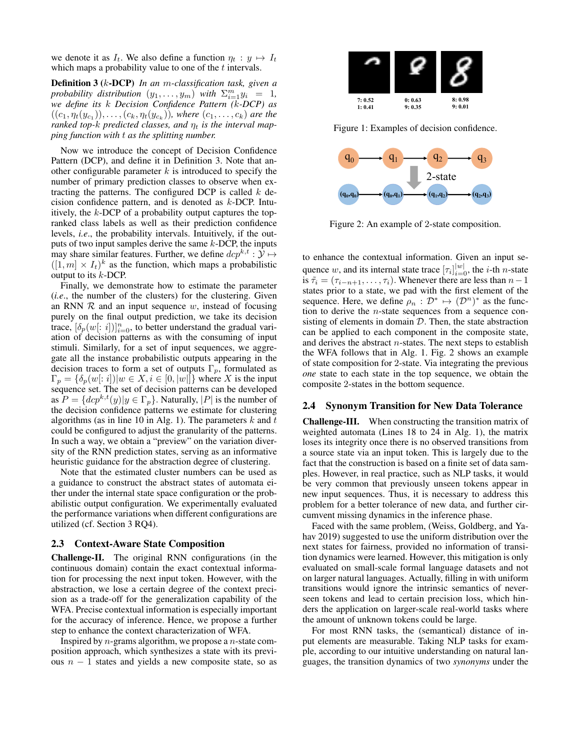we denote it as  $I_t$ . We also define a function  $\eta_t : y \mapsto I_t$ which maps a probability value to one of the  $t$  intervals.

Definition 3 (k-DCP) *In an* m*-classification task, given a probability distribution*  $(y_1, \ldots, y_m)$  *with*  $\sum_{i=1}^m y_i = 1$ *, we define its* k *Decision Confidence Pattern (*k*-DCP) as*  $((c_1, \eta_t(y_{c_1})), \ldots, (c_k, \eta_t(y_{c_k})),$  where  $(c_1, \ldots, c_k)$  are the *ranked top-k predicted classes, and*  $\eta_t$  *is the interval mapping function with* t *as the splitting number.*

Now we introduce the concept of Decision Confidence Pattern (DCP), and define it in Definition 3. Note that another configurable parameter  $k$  is introduced to specify the number of primary prediction classes to observe when extracting the patterns. The configured DCP is called  $k$  decision confidence pattern, and is denoted as k-DCP. Intuitively, the  $k$ -DCP of a probability output captures the topranked class labels as well as their prediction confidence levels, *i.e*., the probability intervals. Intuitively, if the outputs of two input samples derive the same  $k$ -DCP, the inputs may share similar features. Further, we define  $\text{d}cp^{k,t} : \mathcal{Y} \mapsto$  $([1, m] \times I_t)^k$  as the function, which maps a probabilistic output to its  $k$ -DCP.

Finally, we demonstrate how to estimate the parameter (*i.e*., the number of the clusters) for the clustering. Given an RNN  $R$  and an input sequence  $w$ , instead of focusing purely on the final output prediction, we take its decision trace,  $[\delta_p(w[:i])]_{i=0}^n$ , to better understand the gradual variation of decision patterns as with the consuming of input stimuli. Similarly, for a set of input sequences, we aggregate all the instance probabilistic outputs appearing in the decision traces to form a set of outputs  $\Gamma_p$ , formulated as  $\Gamma_p = \{\delta_p(w[:i]) | w \in X, i \in [0, |w|] \}$  where X is the input sequence set. The set of decision patterns can be developed as  $P = \{dcp^{k,t}(y)|y \in \Gamma_p\}$ . Naturally,  $|P|$  is the number of the decision confidence patterns we estimate for clustering algorithms (as in line 10 in Alg. 1). The parameters  $k$  and  $t$ could be configured to adjust the granularity of the patterns. In such a way, we obtain a "preview" on the variation diversity of the RNN prediction states, serving as an informative heuristic guidance for the abstraction degree of clustering.

Note that the estimated cluster numbers can be used as a guidance to construct the abstract states of automata either under the internal state space configuration or the probabilistic output configuration. We experimentally evaluated the performance variations when different configurations are utilized (cf. Section 3 RQ4).

#### 2.3 Context-Aware State Composition

Challenge-II. The original RNN configurations (in the continuous domain) contain the exact contextual information for processing the next input token. However, with the abstraction, we lose a certain degree of the context precision as a trade-off for the generalization capability of the WFA. Precise contextual information is especially important for the accuracy of inference. Hence, we propose a further step to enhance the context characterization of WFA.

Inspired by  $n$ -grams algorithm, we propose a  $n$ -state composition approach, which synthesizes a state with its previous  $n - 1$  states and yields a new composite state, so as



Figure 1: Examples of decision confidence.



Figure 2: An example of 2-state composition.

to enhance the contextual information. Given an input sequence w, and its internal state trace  $[\tau_i]_{i=0}^{|w|}$ , the *i*-th *n*-state is  $\tilde{\tau}_i = (\tau_{i-n+1}, \ldots, \tau_i)$ . Whenever there are less than  $n-1$ states prior to a state, we pad with the first element of the sequence. Here, we define  $\rho_n : \mathcal{D}^* \mapsto (\mathcal{D}^n)^*$  as the function to derive the  $n$ -state sequences from a sequence consisting of elements in domain  $D$ . Then, the state abstraction can be applied to each component in the composite state, and derives the abstract  $n$ -states. The next steps to establish the WFA follows that in Alg. 1. Fig. 2 shows an example of state composition for 2-state. Via integrating the previous *one* state to each state in the top sequence, we obtain the composite 2-states in the bottom sequence.

### 2.4 Synonym Transition for New Data Tolerance

Challenge-III. When constructing the transition matrix of weighted automata (Lines 18 to 24 in Alg. 1), the matrix loses its integrity once there is no observed transitions from a source state via an input token. This is largely due to the fact that the construction is based on a finite set of data samples. However, in real practice, such as NLP tasks, it would be very common that previously unseen tokens appear in new input sequences. Thus, it is necessary to address this problem for a better tolerance of new data, and further circumvent missing dynamics in the inference phase.

Faced with the same problem, (Weiss, Goldberg, and Yahav 2019) suggested to use the uniform distribution over the next states for fairness, provided no information of transition dynamics were learned. However, this mitigation is only evaluated on small-scale formal language datasets and not on larger natural languages. Actually, filling in with uniform transitions would ignore the intrinsic semantics of neverseen tokens and lead to certain precision loss, which hinders the application on larger-scale real-world tasks where the amount of unknown tokens could be large.

For most RNN tasks, the (semantical) distance of input elements are measurable. Taking NLP tasks for example, according to our intuitive understanding on natural languages, the transition dynamics of two *synonyms* under the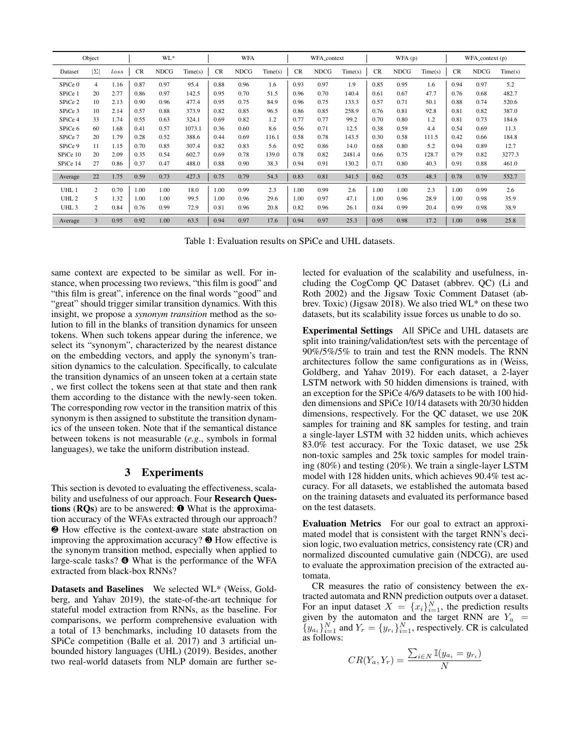|                  | Object         |           |      | WL*         |         |      | <b>WFA</b>  |         |      | WFA_context | WFA(p)  |           |             |         |      | WFA_context (p) |         |
|------------------|----------------|-----------|------|-------------|---------|------|-------------|---------|------|-------------|---------|-----------|-------------|---------|------|-----------------|---------|
| Dataset          | $ \Sigma $     | $_{loss}$ | CR   | <b>NDCG</b> | Time(s) | CR   | <b>NDCG</b> | Time(s) | CR   | <b>NDCG</b> | Time(s) | <b>CR</b> | <b>NDCG</b> | Time(s) | CR   | <b>NDCG</b>     | Time(s) |
| SPiCe 0          | 4              | 1.16      | 0.87 | 0.97        | 95.4    | 0.88 | 0.96        | 1.6     | 0.93 | 0.97        | 1.9     | 0.85      | 0.95        | 1.6     | 0.94 | 0.97            | 5.2     |
| SPiCe 1          | 20             | 2.77      | 0.86 | 0.97        | 142.5   | 0.95 | 0.70        | 51.5    | 0.96 | 0.70        | 140.4   | 0.61      | 0.67        | 47.7    | 0.76 | 0.68            | 482.7   |
| SPiCe 2          | 10             | 2.13      | 0.90 | 0.96        | 477.4   | 0.95 | 0.75        | 84.9    | 0.96 | 0.75        | 133.3   | 0.57      | 0.71        | 50.1    | 0.88 | 0.74            | 520.6   |
| SPiCe 3          | 10             | 2.14      | 0.57 | 0.88        | 373.9   | 0.82 | 0.85        | 96.5    | 0.86 | 0.85        | 258.9   | 0.76      | 0.81        | 92.8    | 0.81 | 0.82            | 387.0   |
| SPiCe 4          | 33             | 1.74      | 0.55 | 0.63        | 324.1   | 0.69 | 0.82        | 1.2     | 0.77 | 0.77        | 99.2    | 0.70      | 0.80        | 1.2     | 0.81 | 0.73            | 184.6   |
| SPiCe 6          | 60             | 1.68      | 0.41 | 0.57        | 1073.1  | 0.36 | 0.60        | 8.6     | 0.56 | 0.71        | 12.5    | 0.38      | 0.59        | 4.4     | 0.54 | 0.69            | 11.3    |
| SPiCe 7          | 20             | 1.79      | 0.28 | 0.52        | 388.6   | 0.44 | 0.69        | 116.1   | 0.58 | 0.78        | 143.5   | 0.30      | 0.58        | 111.5   | 0.42 | 0.66            | 184.8   |
| SPiCe 9          | 11             | 1.15      | 0.70 | 0.85        | 307.4   | 0.82 | 0.83        | 5.6     | 0.92 | 0.86        | 14.0    | 0.68      | 0.80        | 5.2     | 0.94 | 0.89            | 12.7    |
| SPiCe 10         | 20             | 2.09      | 0.35 | 0.54        | 602.7   | 0.69 | 0.78        | 139.0   | 0.78 | 0.82        | 2481.4  | 0.66      | 0.75        | 128.7   | 0.79 | 0.82            | 3277.3  |
| SPiCe 14         | 27             | 0.86      | 0.37 | 0.47        | 488.0   | 0.88 | 0.90        | 38.3    | 0.94 | 0.91        | 130.2   | 0.71      | 0.80        | 40.3    | 0.91 | 0.88            | 461.0   |
| Average          | 22             | 1.75      | 0.59 | 0.73        | 427.3   | 0.75 | 0.79        | 54.3    | 0.83 | 0.81        | 341.5   | 0.62      | 0.75        | 48.3    | 0.78 | 0.79            | 552.7   |
| UHL 1            | $\overline{2}$ | 0.70      | 1.00 | 1.00        | 18.0    | 1.00 | 0.99        | 2.3     | 1.00 | 0.99        | 2.6     | 1.00      | 1.00        | 2.3     | 1.00 | 0.99            | 2.6     |
| UHL <sub>2</sub> | 5              | 1.32      | 1.00 | 1.00        | 99.5    | 1.00 | 0.96        | 29.6    | 1.00 | 0.97        | 47.1    | 1.00      | 0.96        | 28.9    | 1.00 | 0.98            | 35.9    |
| UHL <sub>3</sub> | $\overline{c}$ | 0.84      | 0.76 | 0.99        | 72.9    | 0.81 | 0.96        | 20.8    | 0.82 | 0.96        | 26.1    | 0.84      | 0.99        | 20.4    | 0.99 | 0.98            | 38.9    |
| Average          | 3              | 0.95      | 0.92 | 1.00        | 63.5    | 0.94 | 0.97        | 17.6    | 0.94 | 0.97        | 25.3    | 0.95      | 0.98        | 17.2    | 1.00 | 0.98            | 25.8    |

Table 1: Evaluation results on SPiCe and UHL datasets.

same context are expected to be similar as well. For instance, when processing two reviews, "this film is good" and "this film is great", inference on the final words "good" and "great" should trigger similar transition dynamics. With this insight, we propose a *synonym transition* method as the solution to fill in the blanks of transition dynamics for unseen tokens. When such tokens appear during the inference, we select its "synonym", characterized by the nearest distance on the embedding vectors, and apply the synonym's transition dynamics to the calculation. Specifically, to calculate the transition dynamics of an unseen token at a certain state , we first collect the tokens seen at that state and then rank them according to the distance with the newly-seen token. The corresponding row vector in the transition matrix of this synonym is then assigned to substitute the transition dynamics of the unseen token. Note that if the semantical distance between tokens is not measurable (*e.g*., symbols in formal languages), we take the uniform distribution instead.

#### 3 Experiments

This section is devoted to evaluating the effectiveness, scalability and usefulness of our approach. Four Research Questions (RQs) are to be answered: ❶ What is the approximation accuracy of the WFAs extracted through our approach? ❷ How effective is the context-aware state abstraction on improving the approximation accuracy? ❸ How effective is the synonym transition method, especially when applied to large-scale tasks? ❹ What is the performance of the WFA extracted from black-box RNNs?

Datasets and Baselines We selected WL\* (Weiss, Goldberg, and Yahav 2019), the state-of-the-art technique for stateful model extraction from RNNs, as the baseline. For comparisons, we perform comprehensive evaluation with a total of 13 benchmarks, including 10 datasets from the SPiCe competition (Balle et al. 2017) and 3 artificial unbounded history languages (UHL) (2019). Besides, another two real-world datasets from NLP domain are further selected for evaluation of the scalability and usefulness, including the CogComp QC Dataset (abbrev. QC) (Li and Roth 2002) and the Jigsaw Toxic Comment Dataset (abbrev. Toxic) (Jigsaw 2018). We also tried WL\* on these two datasets, but its scalability issue forces us unable to do so.

Experimental Settings All SPiCe and UHL datasets are split into training/validation/test sets with the percentage of 90%/5%/5% to train and test the RNN models. The RNN architectures follow the same configurations as in (Weiss, Goldberg, and Yahav 2019). For each dataset, a 2-layer LSTM network with 50 hidden dimensions is trained, with an exception for the SPiCe 4/6/9 datasets to be with 100 hidden dimensions and SPiCe 10/14 datasets with 20/30 hidden dimensions, respectively. For the QC dataset, we use 20K samples for training and 8K samples for testing, and train a single-layer LSTM with 32 hidden units, which achieves 83.0% test accuracy. For the Toxic dataset, we use 25k non-toxic samples and 25k toxic samples for model training (80%) and testing (20%). We train a single-layer LSTM model with 128 hidden units, which achieves 90.4% test accuracy. For all datasets, we established the automata based on the training datasets and evaluated its performance based on the test datasets.

Evaluation Metrics For our goal to extract an approximated model that is consistent with the target RNN's decision logic, two evaluation metrics, consistency rate (CR) and normalized discounted cumulative gain (NDCG), are used to evaluate the approximation precision of the extracted automata.

CR measures the ratio of consistency between the extracted automata and RNN prediction outputs over a dataset. For an input dataset  $X = \{x_i\}_{i=1}^N$ , the prediction results given by the automaton and the target RNN are  $Y_a$  =  $\{y_{a_i}\}_{i=1}^N$  and  $Y_r = \{y_{r_i}\}_{i=1}^N$ , respectively. CR is calculated as follows:

$$
CR(Y_a, Y_r) = \frac{\sum_{i \in N} \mathbb{I}(y_{a_i} = y_{r_i})}{N}
$$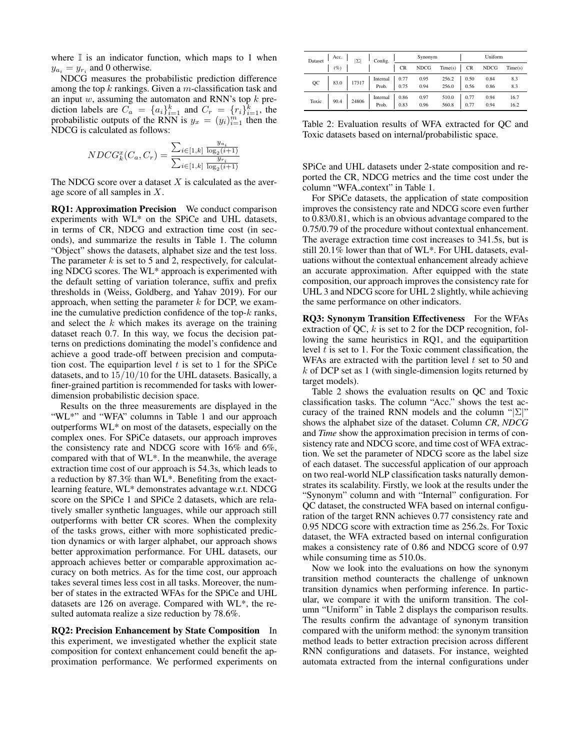where  $\mathbb I$  is an indicator function, which maps to 1 when  $y_{a_i} = y_{r_i}$  and 0 otherwise.

NDCG measures the probabilistic prediction difference among the top  $k$  rankings. Given a  $m$ -classification task and an input  $w$ , assuming the automaton and RNN's top  $k$  prediction labels are  $C_a = \{a_i\}_{i=1}^k$  and  $C_r = \{r_i\}_{i=1}^k$ , the probabilistic outputs of the RNN is  $y_x = (y_i)_{i=1}^m$  then the NDCG is calculated as follows:

$$
NDCG_{k}^{x}(C_{a}, C_{r}) = \frac{\sum_{i \in [1,k]} \frac{y_{a_{i}}}{\log_{2}(i+1)}}{\sum_{i \in [1,k]} \frac{y_{r_{i}}}{\log_{2}(i+1)}}
$$

The NDCG score over a dataset  $X$  is calculated as the average score of all samples in X.

RQ1: Approximation Precision We conduct comparison experiments with WL\* on the SPiCe and UHL datasets, in terms of CR, NDCG and extraction time cost (in seconds), and summarize the results in Table 1. The column "Object" shows the datasets, alphabet size and the test loss. The parameter  $k$  is set to 5 and 2, respectively, for calculating NDCG scores. The WL\* approach is experimented with the default setting of variation tolerance, suffix and prefix thresholds in (Weiss, Goldberg, and Yahav 2019). For our approach, when setting the parameter  $k$  for DCP, we examine the cumulative prediction confidence of the top- $k$  ranks, and select the  $k$  which makes its average on the training dataset reach 0.7. In this way, we focus the decision patterns on predictions dominating the model's confidence and achieve a good trade-off between precision and computation cost. The equipartion level  $t$  is set to 1 for the SPiCe datasets, and to 15/10/10 for the UHL datasets. Basically, a finer-grained partition is recommended for tasks with lowerdimension probabilistic decision space.

Results on the three measurements are displayed in the "WL\*" and "WFA" columns in Table 1 and our approach outperforms WL\* on most of the datasets, especially on the complex ones. For SPiCe datasets, our approach improves the consistency rate and NDCG score with 16% and 6%, compared with that of WL\*. In the meanwhile, the average extraction time cost of our approach is 54.3s, which leads to a reduction by 87.3% than WL\*. Benefiting from the exactlearning feature, WL\* demonstrates advantage w.r.t. NDCG score on the SPiCe 1 and SPiCe 2 datasets, which are relatively smaller synthetic languages, while our approach still outperforms with better CR scores. When the complexity of the tasks grows, either with more sophisticated prediction dynamics or with larger alphabet, our approach shows better approximation performance. For UHL datasets, our approach achieves better or comparable approximation accuracy on both metrics. As for the time cost, our approach takes several times less cost in all tasks. Moreover, the number of states in the extracted WFAs for the SPiCe and UHL datasets are 126 on average. Compared with WL\*, the resulted automata realize a size reduction by 78.6%.

RQ2: Precision Enhancement by State Composition In this experiment, we investigated whether the explicit state composition for context enhancement could benefit the approximation performance. We performed experiments on

| Dataset | Acc. | IΣ    | Config.           |              | Synonym      |                | Uniform      |              |              |  |
|---------|------|-------|-------------------|--------------|--------------|----------------|--------------|--------------|--------------|--|
|         | (%   |       |                   | <b>CR</b>    | <b>NDCG</b>  | Time(s)        | <b>CR</b>    | <b>NDCG</b>  | Time(s)      |  |
| QC      | 83.0 | 17317 | Internal<br>Prob. | 0.77<br>0.75 | 0.95<br>0.94 | 256.2<br>256.0 | 0.50<br>0.56 | 0.84<br>0.86 | 8.3<br>8.3   |  |
| Toxic   | 90.4 | 24806 | Internal<br>Prob. | 0.86<br>0.83 | 0.97<br>0.96 | 510.0<br>560.8 | 0.77<br>0.77 | 0.94<br>0.94 | 16.7<br>16.2 |  |

Table 2: Evaluation results of WFA extracted for QC and Toxic datasets based on internal/probabilistic space.

SPiCe and UHL datasets under 2-state composition and reported the CR, NDCG metrics and the time cost under the column "WFA context" in Table 1.

For SPiCe datasets, the application of state composition improves the consistency rate and NDCG score even further to 0.83/0.81, which is an obvious advantage compared to the 0.75/0.79 of the procedure without contextual enhancement. The average extraction time cost increases to 341.5s, but is still 20.1% lower than that of WL\*. For UHL datasets, evaluations without the contextual enhancement already achieve an accurate approximation. After equipped with the state composition, our approach improves the consistency rate for UHL 3 and NDCG score for UHL 2 slightly, while achieving the same performance on other indicators.

RQ3: Synonym Transition Effectiveness For the WFAs extraction of QC,  $k$  is set to 2 for the DCP recognition, following the same heuristics in RQ1, and the equipartition level  $t$  is set to 1. For the Toxic comment classification, the WFAs are extracted with the partition level  $t$  set to 50 and  $k$  of DCP set as 1 (with single-dimension logits returned by target models).

Table 2 shows the evaluation results on QC and Toxic classification tasks. The column "Acc." shows the test accuracy of the trained RNN models and the column " $|\Sigma|$ " shows the alphabet size of the dataset. Column *CR*, *NDCG* and *Time* show the approximation precision in terms of consistency rate and NDCG score, and time cost of WFA extraction. We set the parameter of NDCG score as the label size of each dataset. The successful application of our approach on two real-world NLP classification tasks naturally demonstrates its scalability. Firstly, we look at the results under the "Synonym" column and with "Internal" configuration. For QC dataset, the constructed WFA based on internal configuration of the target RNN achieves 0.77 consistency rate and 0.95 NDCG score with extraction time as 256.2s. For Toxic dataset, the WFA extracted based on internal configuration makes a consistency rate of 0.86 and NDCG score of 0.97 while consuming time as 510.0s.

Now we look into the evaluations on how the synonym transition method counteracts the challenge of unknown transition dynamics when performing inference. In particular, we compare it with the uniform transition. The column "Uniform" in Table 2 displays the comparison results. The results confirm the advantage of synonym transition compared with the uniform method: the synonym transition method leads to better extraction precision across different RNN configurations and datasets. For instance, weighted automata extracted from the internal configurations under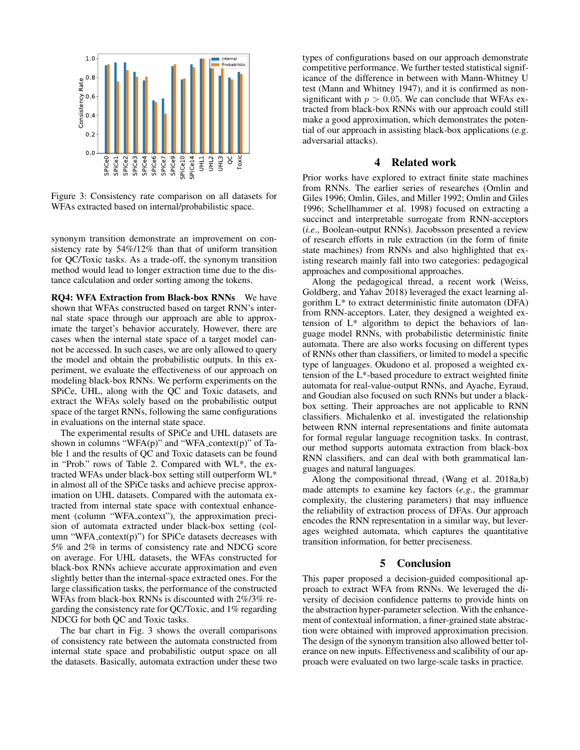

Figure 3: Consistency rate comparison on all datasets for WFAs extracted based on internal/probabilistic space.

synonym transition demonstrate an improvement on consistency rate by 54%/12% than that of uniform transition for QC/Toxic tasks. As a trade-off, the synonym transition method would lead to longer extraction time due to the distance calculation and order sorting among the tokens.

RQ4: WFA Extraction from Black-box RNNs We have shown that WFAs constructed based on target RNN's internal state space through our approach are able to approximate the target's behavior accurately. However, there are cases when the internal state space of a target model cannot be accessed. In such cases, we are only allowed to query the model and obtain the probabilistic outputs. In this experiment, we evaluate the effectiveness of our approach on modeling black-box RNNs. We perform experiments on the SPiCe, UHL, along with the QC and Toxic datasets, and extract the WFAs solely based on the probabilistic output space of the target RNNs, following the same configurations in evaluations on the internal state space.

The experimental results of SPiCe and UHL datasets are shown in columns "WFA $(p)$ " and "WFA\_context $(p)$ " of Table 1 and the results of QC and Toxic datasets can be found in "Prob." rows of Table 2. Compared with WL\*, the extracted WFAs under black-box setting still outperform WL\* in almost all of the SPiCe tasks and achieve precise approximation on UHL datasets. Compared with the automata extracted from internal state space with contextual enhancement (column "WFA context"), the approximation precision of automata extracted under black-box setting (column "WFA\_context $(p)$ ") for SPiCe datasets decreases with 5% and 2% in terms of consistency rate and NDCG score on average. For UHL datasets, the WFAs constructed for black-box RNNs achieve accurate approximation and even slightly better than the internal-space extracted ones. For the large classification tasks, the performance of the constructed WFAs from black-box RNNs is discounted with 2%/3% regarding the consistency rate for QC/Toxic, and 1% regarding NDCG for both QC and Toxic tasks.

The bar chart in Fig. 3 shows the overall comparisons of consistency rate between the automata constructed from internal state space and probabilistic output space on all the datasets. Basically, automata extraction under these two

types of configurations based on our approach demonstrate competitive performance. We further tested statistical significance of the difference in between with Mann-Whitney U test (Mann and Whitney 1947), and it is confirmed as nonsignificant with  $p > 0.05$ . We can conclude that WFAs extracted from black-box RNNs with our approach could still make a good approximation, which demonstrates the potential of our approach in assisting black-box applications (e.g. adversarial attacks).

### 4 Related work

Prior works have explored to extract finite state machines from RNNs. The earlier series of researches (Omlin and Giles 1996; Omlin, Giles, and Miller 1992; Omlin and Giles 1996; Schellhammer et al. 1998) focused on extracting a succinct and interpretable surrogate from RNN-acceptors (*i.e*., Boolean-output RNNs). Jacobsson presented a review of research efforts in rule extraction (in the form of finite state machines) from RNNs and also highlighted that existing research mainly fall into two categories: pedagogical approaches and compositional approaches.

Along the pedagogical thread, a recent work (Weiss, Goldberg, and Yahav 2018) leveraged the exact learning algorithm L\* to extract deterministic finite automaton (DFA) from RNN-acceptors. Later, they designed a weighted extension of L\* algorithm to depict the behaviors of language model RNNs, with probabilistic deterministic finite automata. There are also works focusing on different types of RNNs other than classifiers, or limited to model a specific type of languages. Okudono et al. proposed a weighted extension of the L\*-based procedure to extract weighted finite automata for real-value-output RNNs, and Ayache, Eyraud, and Goudian also focused on such RNNs but under a blackbox setting. Their approaches are not applicable to RNN classifiers. Michalenko et al. investigated the relationship between RNN internal representations and finite automata for formal regular language recognition tasks. In contrast, our method supports automata extraction from black-box RNN classifiers, and can deal with both grammatical languages and natural languages.

Along the compositional thread, (Wang et al. 2018a,b) made attempts to examine key factors (*e.g*., the grammar complexity, the clustering parameters) that may influence the reliability of extraction process of DFAs. Our approach encodes the RNN representation in a similar way, but leverages weighted automata, which captures the quantitative transition information, for better preciseness.

### 5 Conclusion

This paper proposed a decision-guided compositional approach to extract WFA from RNNs. We leveraged the diversity of decision confidence patterns to provide hints on the abstraction hyper-parameter selection. With the enhancement of contextual information, a finer-grained state abstraction were obtained with improved approximation precision. The design of the synonym transition also allowed better tolerance on new inputs. Effectiveness and scalibility of our approach were evaluated on two large-scale tasks in practice.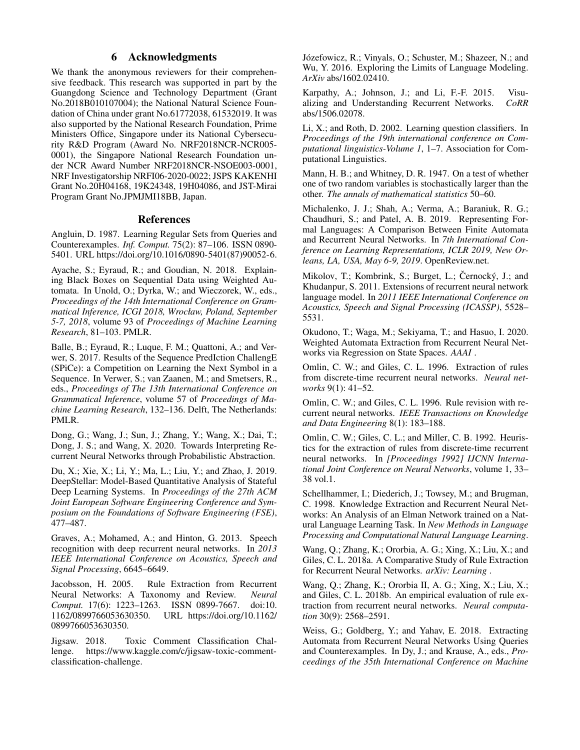# 6 Acknowledgments

We thank the anonymous reviewers for their comprehensive feedback. This research was supported in part by the Guangdong Science and Technology Department (Grant No.2018B010107004); the National Natural Science Foundation of China under grant No.61772038, 61532019. It was also supported by the National Research Foundation, Prime Ministers Office, Singapore under its National Cybersecurity R&D Program (Award No. NRF2018NCR-NCR005- 0001), the Singapore National Research Foundation under NCR Award Number NRF2018NCR-NSOE003-0001, NRF Investigatorship NRFI06-2020-0022; JSPS KAKENHI Grant No.20H04168, 19K24348, 19H04086, and JST-Mirai Program Grant No.JPMJMI18BB, Japan.

#### References

Angluin, D. 1987. Learning Regular Sets from Queries and Counterexamples. *Inf. Comput.* 75(2): 87–106. ISSN 0890- 5401. URL https://doi.org/10.1016/0890-5401(87)90052-6.

Ayache, S.; Eyraud, R.; and Goudian, N. 2018. Explaining Black Boxes on Sequential Data using Weighted Automata. In Unold, O.; Dyrka, W.; and Wieczorek, W., eds., *Proceedings of the 14th International Conference on Grammatical Inference, ICGI 2018, Wrocław, Poland, September 5-7, 2018*, volume 93 of *Proceedings of Machine Learning Research*, 81–103. PMLR.

Balle, B.; Eyraud, R.; Luque, F. M.; Quattoni, A.; and Verwer, S. 2017. Results of the Sequence PredIction ChallengE (SPiCe): a Competition on Learning the Next Symbol in a Sequence. In Verwer, S.; van Zaanen, M.; and Smetsers, R., eds., *Proceedings of The 13th International Conference on Grammatical Inference*, volume 57 of *Proceedings of Machine Learning Research*, 132–136. Delft, The Netherlands: PMLR.

Dong, G.; Wang, J.; Sun, J.; Zhang, Y.; Wang, X.; Dai, T.; Dong, J. S.; and Wang, X. 2020. Towards Interpreting Recurrent Neural Networks through Probabilistic Abstraction.

Du, X.; Xie, X.; Li, Y.; Ma, L.; Liu, Y.; and Zhao, J. 2019. DeepStellar: Model-Based Quantitative Analysis of Stateful Deep Learning Systems. In *Proceedings of the 27th ACM Joint European Software Engineering Conference and Symposium on the Foundations of Software Engineering (FSE)*, 477–487.

Graves, A.; Mohamed, A.; and Hinton, G. 2013. Speech recognition with deep recurrent neural networks. In *2013 IEEE International Conference on Acoustics, Speech and Signal Processing*, 6645–6649.

Jacobsson, H. 2005. Rule Extraction from Recurrent Neural Networks: A Taxonomy and Review. *Neural Comput.* 17(6): 1223–1263. ISSN 0899-7667. doi:10. 1162/0899766053630350. URL https://doi.org/10.1162/ 0899766053630350.

Jigsaw. 2018. Toxic Comment Classification Challenge. https://www.kaggle.com/c/jigsaw-toxic-commentclassification-challenge.

Józefowicz, R.; Vinyals, O.; Schuster, M.; Shazeer, N.; and Wu, Y. 2016. Exploring the Limits of Language Modeling. *ArXiv* abs/1602.02410.

Karpathy, A.; Johnson, J.; and Li, F.-F. 2015. Visu-<br>alizing and Understanding Recurrent Networks. CoRR alizing and Understanding Recurrent Networks. abs/1506.02078.

Li, X.; and Roth, D. 2002. Learning question classifiers. In *Proceedings of the 19th international conference on Computational linguistics-Volume 1*, 1–7. Association for Computational Linguistics.

Mann, H. B.; and Whitney, D. R. 1947. On a test of whether one of two random variables is stochastically larger than the other. *The annals of mathematical statistics* 50–60.

Michalenko, J. J.; Shah, A.; Verma, A.; Baraniuk, R. G.; Chaudhuri, S.; and Patel, A. B. 2019. Representing Formal Languages: A Comparison Between Finite Automata and Recurrent Neural Networks. In *7th International Conference on Learning Representations, ICLR 2019, New Orleans, LA, USA, May 6-9, 2019*. OpenReview.net.

Mikolov, T.; Kombrink, S.; Burget, L.; Černocký, J.; and Khudanpur, S. 2011. Extensions of recurrent neural network language model. In *2011 IEEE International Conference on Acoustics, Speech and Signal Processing (ICASSP)*, 5528– 5531.

Okudono, T.; Waga, M.; Sekiyama, T.; and Hasuo, I. 2020. Weighted Automata Extraction from Recurrent Neural Networks via Regression on State Spaces. *AAAI* .

Omlin, C. W.; and Giles, C. L. 1996. Extraction of rules from discrete-time recurrent neural networks. *Neural networks* 9(1): 41–52.

Omlin, C. W.; and Giles, C. L. 1996. Rule revision with recurrent neural networks. *IEEE Transactions on Knowledge and Data Engineering* 8(1): 183–188.

Omlin, C. W.; Giles, C. L.; and Miller, C. B. 1992. Heuristics for the extraction of rules from discrete-time recurrent neural networks. In *[Proceedings 1992] IJCNN International Joint Conference on Neural Networks*, volume 1, 33– 38 vol.1.

Schellhammer, I.; Diederich, J.; Towsey, M.; and Brugman, C. 1998. Knowledge Extraction and Recurrent Neural Networks: An Analysis of an Elman Network trained on a Natural Language Learning Task. In *New Methods in Language Processing and Computational Natural Language Learning*.

Wang, Q.; Zhang, K.; Ororbia, A. G.; Xing, X.; Liu, X.; and Giles, C. L. 2018a. A Comparative Study of Rule Extraction for Recurrent Neural Networks. *arXiv: Learning* .

Wang, Q.; Zhang, K.; Ororbia II, A. G.; Xing, X.; Liu, X.; and Giles, C. L. 2018b. An empirical evaluation of rule extraction from recurrent neural networks. *Neural computation* 30(9): 2568–2591.

Weiss, G.; Goldberg, Y.; and Yahav, E. 2018. Extracting Automata from Recurrent Neural Networks Using Queries and Counterexamples. In Dy, J.; and Krause, A., eds., *Proceedings of the 35th International Conference on Machine*